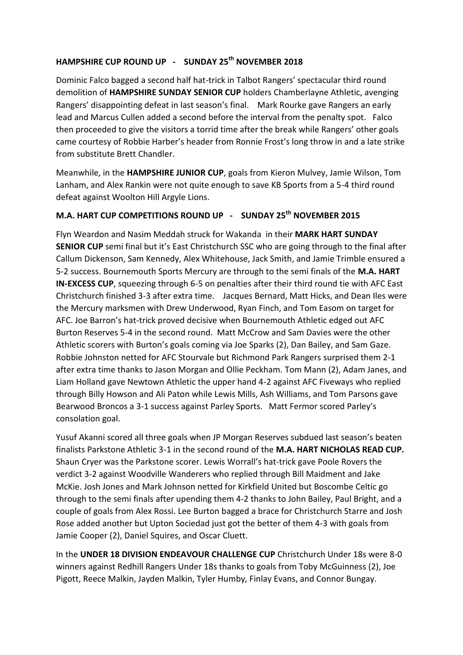## **HAMPSHIRE CUP ROUND UP - SUNDAY 25th NOVEMBER 2018**

Dominic Falco bagged a second half hat-trick in Talbot Rangers' spectacular third round demolition of **HAMPSHIRE SUNDAY SENIOR CUP** holders Chamberlayne Athletic, avenging Rangers' disappointing defeat in last season's final. Mark Rourke gave Rangers an early lead and Marcus Cullen added a second before the interval from the penalty spot. Falco then proceeded to give the visitors a torrid time after the break while Rangers' other goals came courtesy of Robbie Harber's header from Ronnie Frost's long throw in and a late strike from substitute Brett Chandler.

Meanwhile, in the **HAMPSHIRE JUNIOR CUP**, goals from Kieron Mulvey, Jamie Wilson, Tom Lanham, and Alex Rankin were not quite enough to save KB Sports from a 5-4 third round defeat against Woolton Hill Argyle Lions.

## **M.A. HART CUP COMPETITIONS ROUND UP - SUNDAY 25th NOVEMBER 2015**

Flyn Weardon and Nasim Meddah struck for Wakanda in their **MARK HART SUNDAY SENIOR CUP** semi final but it's East Christchurch SSC who are going through to the final after Callum Dickenson, Sam Kennedy, Alex Whitehouse, Jack Smith, and Jamie Trimble ensured a 5-2 success. Bournemouth Sports Mercury are through to the semi finals of the **M.A. HART IN-EXCESS CUP**, squeezing through 6-5 on penalties after their third round tie with AFC East Christchurch finished 3-3 after extra time. Jacques Bernard, Matt Hicks, and Dean Iles were the Mercury marksmen with Drew Underwood, Ryan Finch, and Tom Easom on target for AFC. Joe Barron's hat-trick proved decisive when Bournemouth Athletic edged out AFC Burton Reserves 5-4 in the second round. Matt McCrow and Sam Davies were the other Athletic scorers with Burton's goals coming via Joe Sparks (2), Dan Bailey, and Sam Gaze. Robbie Johnston netted for AFC Stourvale but Richmond Park Rangers surprised them 2-1 after extra time thanks to Jason Morgan and Ollie Peckham. Tom Mann (2), Adam Janes, and Liam Holland gave Newtown Athletic the upper hand 4-2 against AFC Fiveways who replied through Billy Howson and Ali Paton while Lewis Mills, Ash Williams, and Tom Parsons gave Bearwood Broncos a 3-1 success against Parley Sports. Matt Fermor scored Parley's consolation goal.

Yusuf Akanni scored all three goals when JP Morgan Reserves subdued last season's beaten finalists Parkstone Athletic 3-1 in the second round of the **M.A. HART NICHOLAS READ CUP.** Shaun Cryer was the Parkstone scorer. Lewis Worrall's hat-trick gave Poole Rovers the verdict 3-2 against Woodville Wanderers who replied through Bill Maidment and Jake McKie. Josh Jones and Mark Johnson netted for Kirkfield United but Boscombe Celtic go through to the semi finals after upending them 4-2 thanks to John Bailey, Paul Bright, and a couple of goals from Alex Rossi. Lee Burton bagged a brace for Christchurch Starre and Josh Rose added another but Upton Sociedad just got the better of them 4-3 with goals from Jamie Cooper (2), Daniel Squires, and Oscar Cluett.

In the **UNDER 18 DIVISION ENDEAVOUR CHALLENGE CUP** Christchurch Under 18s were 8-0 winners against Redhill Rangers Under 18s thanks to goals from Toby McGuinness (2), Joe Pigott, Reece Malkin, Jayden Malkin, Tyler Humby, Finlay Evans, and Connor Bungay.